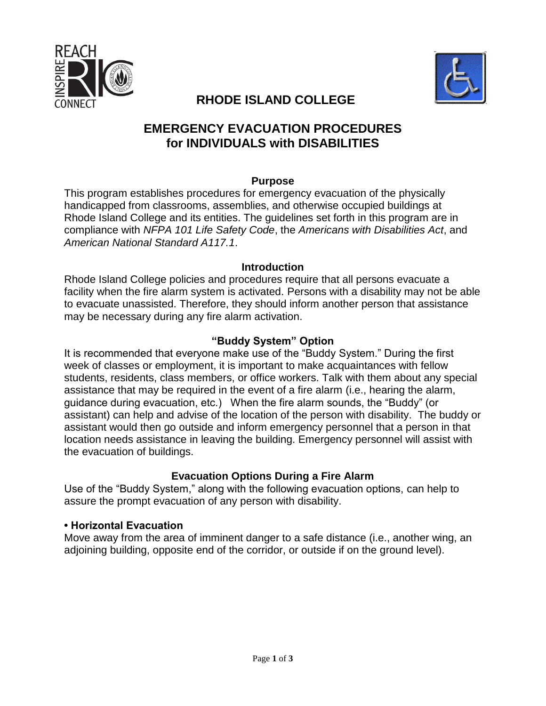



# **RHODE ISLAND COLLEGE**

## **EMERGENCY EVACUATION PROCEDURES for INDIVIDUALS with DISABILITIES**

#### **Purpose**

This program establishes procedures for emergency evacuation of the physically handicapped from classrooms, assemblies, and otherwise occupied buildings at Rhode Island College and its entities. The guidelines set forth in this program are in compliance with *NFPA 101 Life Safety Code*, the *Americans with Disabilities Act*, and *American National Standard A117.1*.

#### **Introduction**

Rhode Island College policies and procedures require that all persons evacuate a facility when the fire alarm system is activated. Persons with a disability may not be able to evacuate unassisted. Therefore, they should inform another person that assistance may be necessary during any fire alarm activation.

#### **"Buddy System" Option**

It is recommended that everyone make use of the "Buddy System." During the first week of classes or employment, it is important to make acquaintances with fellow students, residents, class members, or office workers. Talk with them about any special assistance that may be required in the event of a fire alarm (i.e., hearing the alarm, guidance during evacuation, etc.) When the fire alarm sounds, the "Buddy" (or assistant) can help and advise of the location of the person with disability. The buddy or assistant would then go outside and inform emergency personnel that a person in that location needs assistance in leaving the building. Emergency personnel will assist with the evacuation of buildings.

#### **Evacuation Options During a Fire Alarm**

Use of the "Buddy System," along with the following evacuation options, can help to assure the prompt evacuation of any person with disability.

#### **• Horizontal Evacuation**

Move away from the area of imminent danger to a safe distance (i.e., another wing, an adjoining building, opposite end of the corridor, or outside if on the ground level).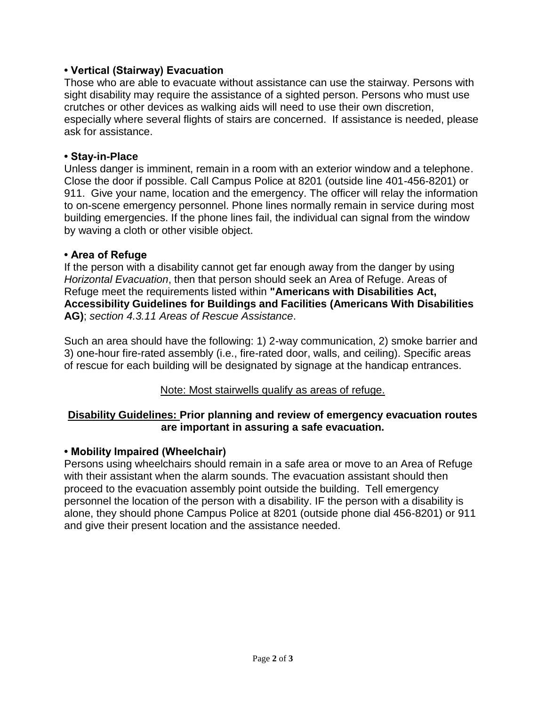#### **• Vertical (Stairway) Evacuation**

Those who are able to evacuate without assistance can use the stairway. Persons with sight disability may require the assistance of a sighted person. Persons who must use crutches or other devices as walking aids will need to use their own discretion, especially where several flights of stairs are concerned. If assistance is needed, please ask for assistance.

#### **• Stay-in-Place**

Unless danger is imminent, remain in a room with an exterior window and a telephone. Close the door if possible. Call Campus Police at 8201 (outside line 401-456-8201) or 911. Give your name, location and the emergency. The officer will relay the information to on-scene emergency personnel. Phone lines normally remain in service during most building emergencies. If the phone lines fail, the individual can signal from the window by waving a cloth or other visible object.

#### **• Area of Refuge**

If the person with a disability cannot get far enough away from the danger by using *Horizontal Evacuation*, then that person should seek an Area of Refuge. Areas of Refuge meet the requirements listed within **"Americans with Disabilities Act, Accessibility Guidelines for Buildings and Facilities (Americans With Disabilities AG)**; *section 4.3.11 Areas of Rescue Assistance*.

Such an area should have the following: 1) 2-way communication, 2) smoke barrier and 3) one-hour fire-rated assembly (i.e., fire-rated door, walls, and ceiling). Specific areas of rescue for each building will be designated by signage at the handicap entrances.

### Note: Most stairwells qualify as areas of refuge.

#### **Disability Guidelines: Prior planning and review of emergency evacuation routes are important in assuring a safe evacuation.**

#### **• Mobility Impaired (Wheelchair)**

Persons using wheelchairs should remain in a safe area or move to an Area of Refuge with their assistant when the alarm sounds. The evacuation assistant should then proceed to the evacuation assembly point outside the building. Tell emergency personnel the location of the person with a disability. IF the person with a disability is alone, they should phone Campus Police at 8201 (outside phone dial 456-8201) or 911 and give their present location and the assistance needed.